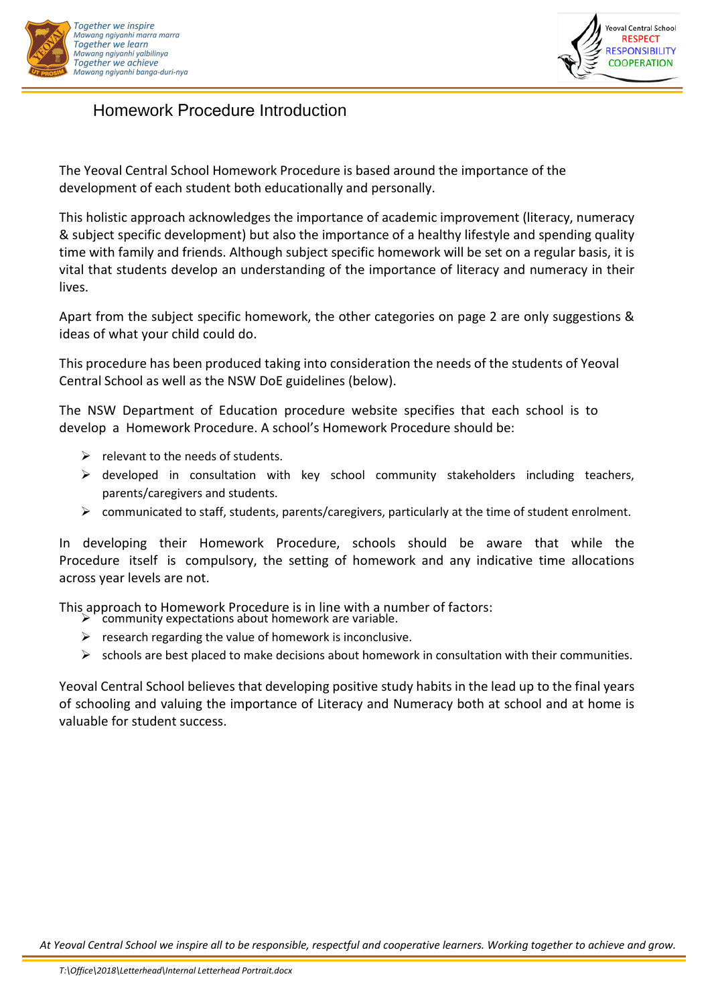



## Homework Procedure Introduction

The Yeoval Central School Homework Procedure is based around the importance of the development of each student both educationally and personally.

This holistic approach acknowledges the importance of academic improvement (literacy, numeracy & subject specific development) but also the importance of a healthy lifestyle and spending quality time with family and friends. Although subject specific homework will be set on a regular basis, it is vital that students develop an understanding of the importance of literacy and numeracy in their lives.

Apart from the subject specific homework, the other categories on page 2 are only suggestions & ideas of what your child could do.

This procedure has been produced taking into consideration the needs of the students of Yeoval Central School as well as the NSW DoE guidelines (below).

The NSW Department of Education procedure website specifies that each school is to develop a Homework Procedure. A school's Homework Procedure should be:

- $\triangleright$  relevant to the needs of students.
- $\triangleright$  developed in consultation with key school community stakeholders including teachers, parents/caregivers and students.
- $\triangleright$  communicated to staff, students, parents/caregivers, particularly at the time of student enrolment.

In developing their Homework Procedure, schools should be aware that while the Procedure itself is compulsory, the setting of homework and any indicative time allocations across year levels are not.

This approach to Homework Procedure is in line with a number of factors:

- $\triangleright$  community expectations about homework are variable.
- $\triangleright$  research regarding the value of homework is inconclusive.
- $\triangleright$  schools are best placed to make decisions about homework in consultation with their communities.

Yeoval Central School believes that developing positive study habits in the lead up to the final years of schooling and valuing the importance of Literacy and Numeracy both at school and at home is valuable for student success.